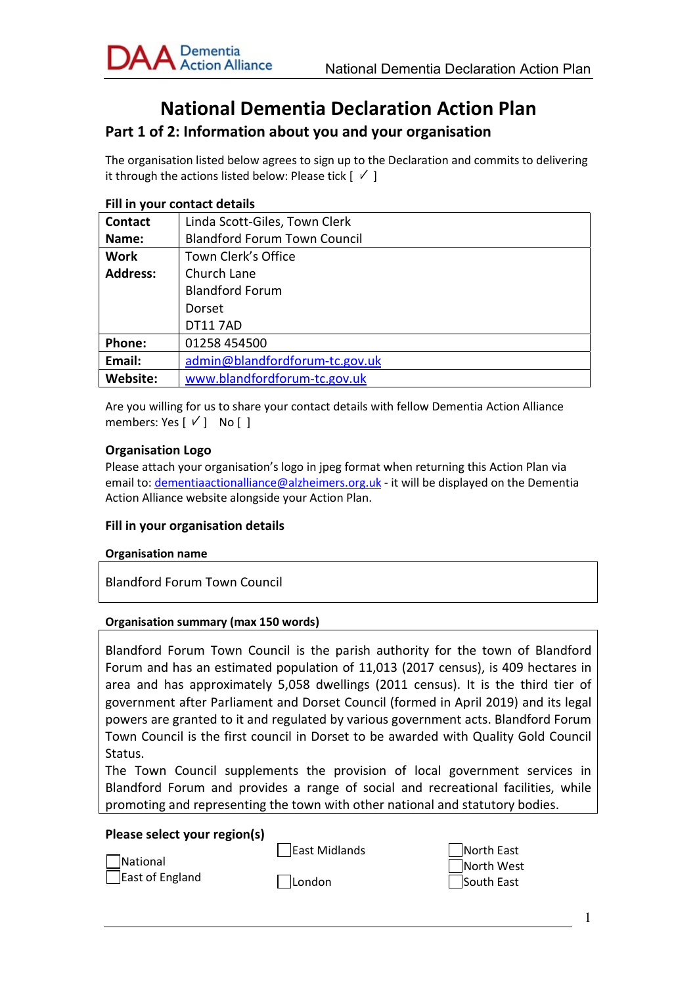

# National Dementia Declaration Action Plan

## Part 1 of 2: Information about you and your organisation

The organisation listed below agrees to sign up to the Declaration and commits to delivering it through the actions listed below: Please tick  $[\sqrt{ } ]$ 

#### Fill in your contact details

| <b>Contact</b>  | Linda Scott-Giles, Town Clerk       |
|-----------------|-------------------------------------|
| Name:           | <b>Blandford Forum Town Council</b> |
| <b>Work</b>     | Town Clerk's Office                 |
| <b>Address:</b> | Church Lane                         |
|                 | <b>Blandford Forum</b>              |
|                 | Dorset                              |
|                 | <b>DT117AD</b>                      |
| Phone:          | 01258 454500                        |
| Email:          | admin@blandfordforum-tc.gov.uk      |
| Website:        | www.blandfordforum-tc.gov.uk        |

Are you willing for us to share your contact details with fellow Dementia Action Alliance members: Yes  $[\vee]$  No  $[\]$ 

#### Organisation Logo

Please attach your organisation's logo in jpeg format when returning this Action Plan via email to: dementiaactionalliance@alzheimers.org.uk - it will be displayed on the Dementia Action Alliance website alongside your Action Plan.

#### Fill in your organisation details

#### Organisation name

Blandford Forum Town Council

#### Organisation summary (max 150 words)

| Blandford Forum Town Council is the parish authority for the town of Blandford      |
|-------------------------------------------------------------------------------------|
| Forum and has an estimated population of 11,013 (2017 census), is 409 hectares in   |
| area and has approximately 5,058 dwellings (2011 census). It is the third tier of   |
| government after Parliament and Dorset Council (formed in April 2019) and its legal |
| powers are granted to it and regulated by various government acts. Blandford Forum  |
| Town Council is the first council in Dorset to be awarded with Quality Gold Council |
| Status.                                                                             |

The Town Council supplements the provision of local government services in Blandford Forum and provides a range of social and recreational facilities, while promoting and representing the town with other national and statutory bodies.

#### Please select your region(s)

| National        | East Midlands |
|-----------------|---------------|
| East of England | $\Box$ London |

North East North West South East

1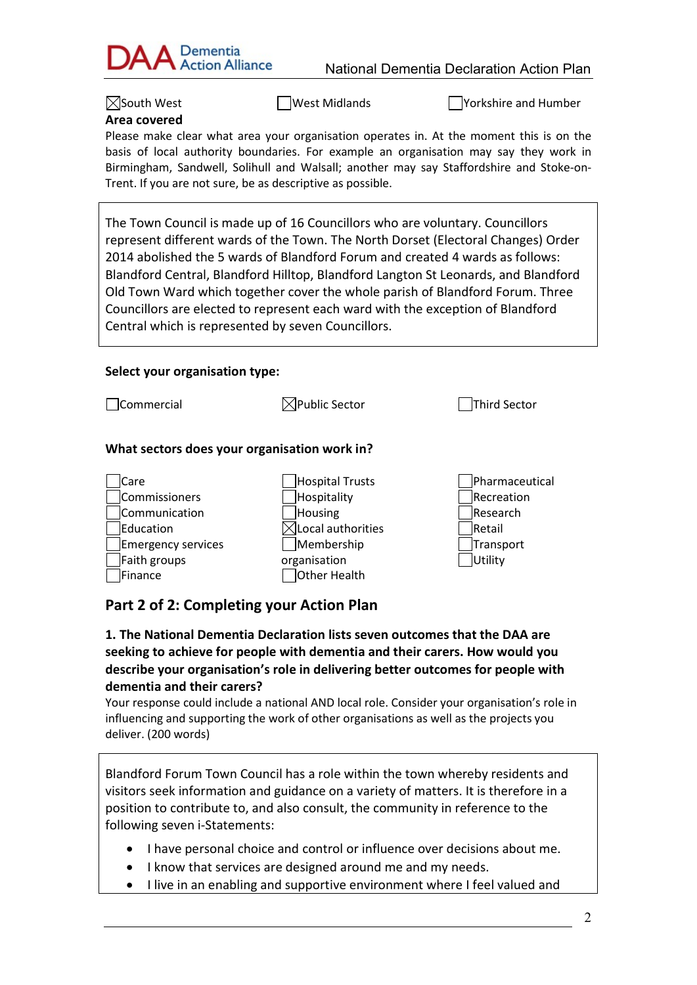

 $\boxtimes$ South West  $\Box$ West Midlands  $\Box$ Yorkshire and Humber

## Area covered

Please make clear what area your organisation operates in. At the moment this is on the basis of local authority boundaries. For example an organisation may say they work in Birmingham, Sandwell, Solihull and Walsall; another may say Staffordshire and Stoke-on-Trent. If you are not sure, be as descriptive as possible.

The Town Council is made up of 16 Councillors who are voluntary. Councillors represent different wards of the Town. The North Dorset (Electoral Changes) Order 2014 abolished the 5 wards of Blandford Forum and created 4 wards as follows: Blandford Central, Blandford Hilltop, Blandford Langton St Leonards, and Blandford Old Town Ward which together cover the whole parish of Blandford Forum. Three Councillors are elected to represent each ward with the exception of Blandford Central which is represented by seven Councillors.

## Select your organisation type:

| Commercial                                                                                           | Public Sector                                                                                                | <b>Third Sector</b>                                                         |
|------------------------------------------------------------------------------------------------------|--------------------------------------------------------------------------------------------------------------|-----------------------------------------------------------------------------|
| What sectors does your organisation work in?                                                         |                                                                                                              |                                                                             |
| Care<br>Commissioners<br>Communication<br>Education<br>Emergency services<br>Faith groups<br>Finance | Hospital Trusts<br>Hospitality<br>Housing<br>Local authorities<br>Membership<br>organisation<br>Other Health | Pharmaceutical<br>Recreation<br>Research<br>lRetail<br>Transport<br>Utility |

## Part 2 of 2: Completing your Action Plan

1. The National Dementia Declaration lists seven outcomes that the DAA are seeking to achieve for people with dementia and their carers. How would you describe your organisation's role in delivering better outcomes for people with dementia and their carers?

Your response could include a national AND local role. Consider your organisation's role in influencing and supporting the work of other organisations as well as the projects you deliver. (200 words)

Blandford Forum Town Council has a role within the town whereby residents and visitors seek information and guidance on a variety of matters. It is therefore in a position to contribute to, and also consult, the community in reference to the following seven i-Statements:

- I have personal choice and control or influence over decisions about me.
- I know that services are designed around me and my needs.
- I live in an enabling and supportive environment where I feel valued and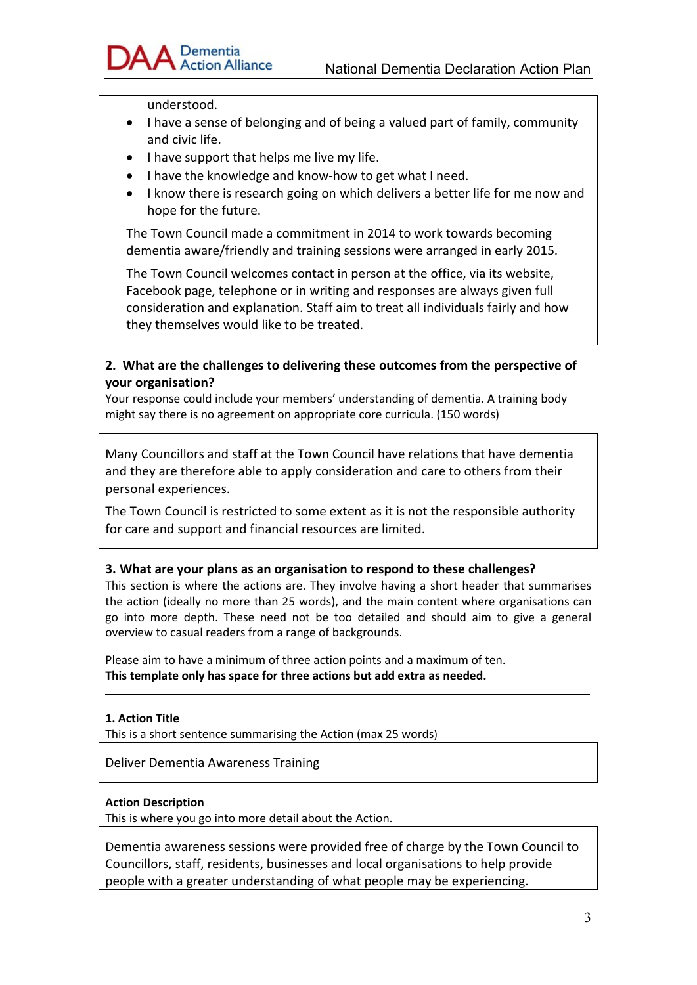

understood.

- I have a sense of belonging and of being a valued part of family, community and civic life.
- $\bullet$  I have support that helps me live my life.
- I have the knowledge and know-how to get what I need.
- I know there is research going on which delivers a better life for me now and hope for the future.

The Town Council made a commitment in 2014 to work towards becoming dementia aware/friendly and training sessions were arranged in early 2015.

The Town Council welcomes contact in person at the office, via its website, Facebook page, telephone or in writing and responses are always given full consideration and explanation. Staff aim to treat all individuals fairly and how they themselves would like to be treated.

## 2. What are the challenges to delivering these outcomes from the perspective of your organisation?

Your response could include your members' understanding of dementia. A training body might say there is no agreement on appropriate core curricula. (150 words)

Many Councillors and staff at the Town Council have relations that have dementia and they are therefore able to apply consideration and care to others from their personal experiences.

The Town Council is restricted to some extent as it is not the responsible authority for care and support and financial resources are limited.

## 3. What are your plans as an organisation to respond to these challenges?

This section is where the actions are. They involve having a short header that summarises the action (ideally no more than 25 words), and the main content where organisations can go into more depth. These need not be too detailed and should aim to give a general overview to casual readers from a range of backgrounds.

Please aim to have a minimum of three action points and a maximum of ten. This template only has space for three actions but add extra as needed.

#### 1. Action Title

This is a short sentence summarising the Action (max 25 words)

Deliver Dementia Awareness Training

#### Action Description

This is where you go into more detail about the Action.

Dementia awareness sessions were provided free of charge by the Town Council to Councillors, staff, residents, businesses and local organisations to help provide people with a greater understanding of what people may be experiencing.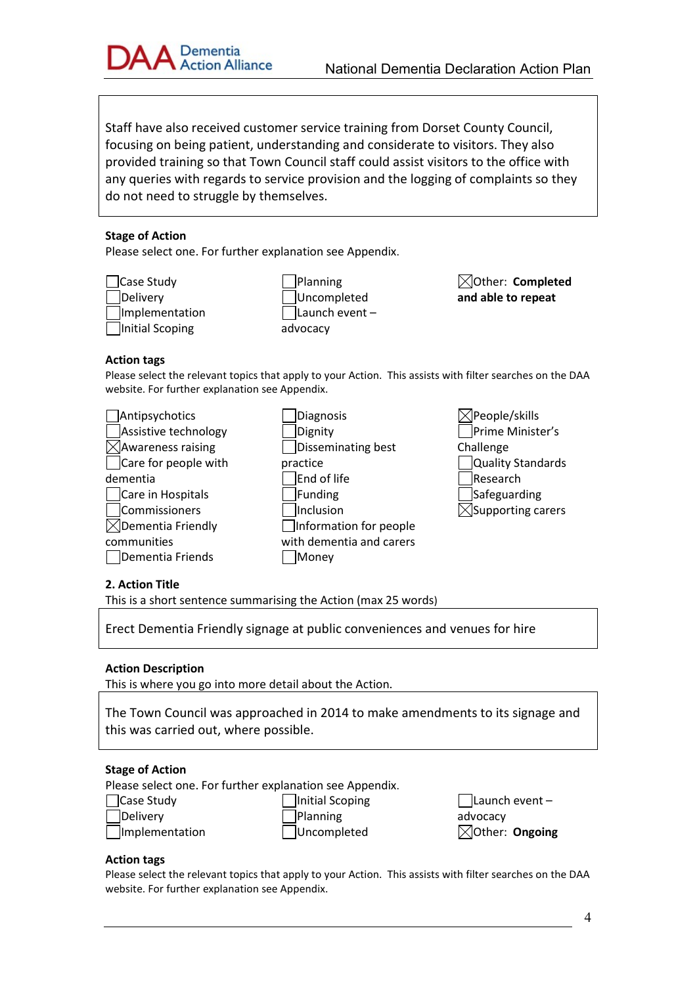

Staff have also received customer service training from Dorset County Council, focusing on being patient, understanding and considerate to visitors. They also provided training so that Town Council staff could assist visitors to the office with any queries with regards to service provision and the logging of complaints so they do not need to struggle by themselves.

#### Stage of Action

Please select one. For further explanation see Appendix.

Case Study Delivery Implementation Initial Scoping

Planning Uncompleted  $\sqrt{\frac{1}{1}}$ Launch event – advocacy

 $\boxtimes$ Other: Completed and able to repeat

#### Action tags

Please select the relevant topics that apply to your Action. This assists with filter searches on the DAA website. For further explanation see Appendix.

| Antipsychotics       | Diagnosis                |
|----------------------|--------------------------|
| Assistive technology | Dignity                  |
| Awareness raising]   | Disseminating best       |
| Care for people with | practice                 |
| dementia             | End of life              |
| Care in Hospitals    | Funding                  |
| Commissioners        | Inclusion                |
| Dementia Friendly    | Information for people   |
| communities          | with dementia and carers |
| Dementia Friends     | /lonev                   |

 $\boxtimes$ People/skills Prime Minister's Challenge Quality Standards Research Safeguarding  $\boxtimes$ Supporting carers

#### 2. Action Title

This is a short sentence summarising the Action (max 25 words)

Erect Dementia Friendly signage at public conveniences and venues for hire

#### Action Description

This is where you go into more detail about the Action.

The Town Council was approached in 2014 to make amendments to its signage and this was carried out, where possible.

#### Stage of Action

Implementation

Please select one. For further explanation see Appendix.

| Case Study |
|------------|
| Delivery   |

**Initial Scoping** Planning **Uncompleted** 

 $\Box$ Launch event – advocacy  $\boxtimes$ Other: Ongoing

#### Action tags

Please select the relevant topics that apply to your Action. This assists with filter searches on the DAA website. For further explanation see Appendix.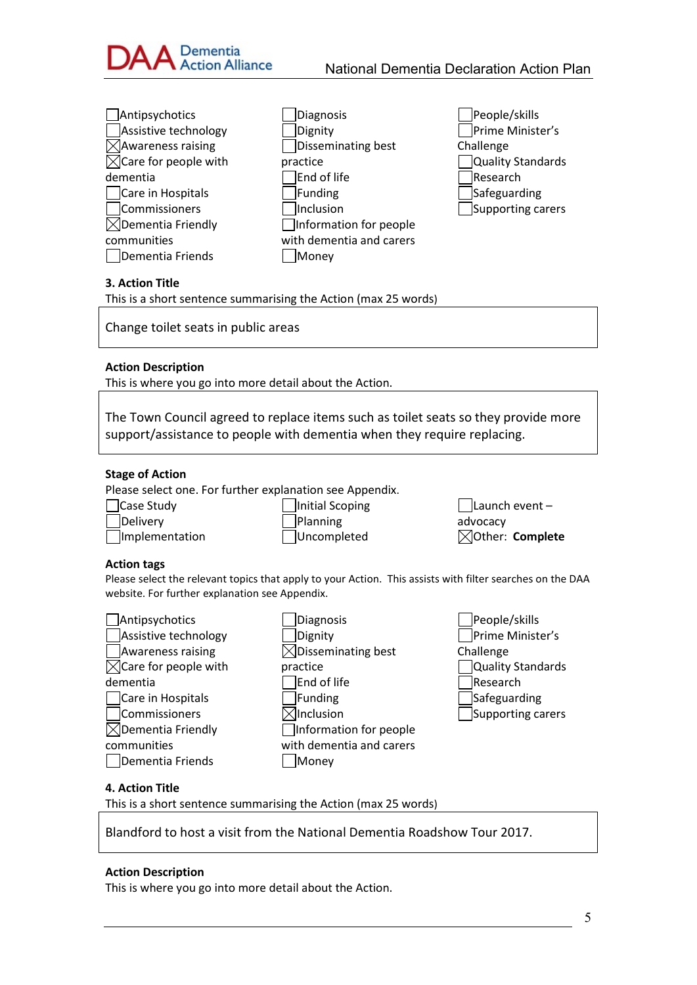

| $\Box$ Antipsychotics            | Diagnosis                | People/skills     |
|----------------------------------|--------------------------|-------------------|
| Assistive technology             | Dignity                  | Prime Minister's  |
| $\boxtimes$ Awareness raising    | Disseminating best       | Challenge         |
| $\boxtimes$ Care for people with | practice                 | Quality Standards |
| dementia                         | End of life              | Research          |
| Care in Hospitals                | Funding                  | Safeguarding      |
| Commissioners                    | Inclusion                | Supporting carers |
| $\boxtimes$ Dementia Friendly    | □Information for people  |                   |
| communities                      | with dementia and carers |                   |
| Dementia Friends                 | Money                    |                   |

#### 3. Action Title

This is a short sentence summarising the Action (max 25 words)

Change toilet seats in public areas

#### Action Description

This is where you go into more detail about the Action.

The Town Council agreed to replace items such as toilet seats so they provide more support/assistance to people with dementia when they require replacing.

#### Stage of Action

Implementation

Please select one. For further explanation see Appendix.

Case Study Delivery

Initial Scoping Planning Uncompleted

 $\Box$ Launch event – advocacy  $\boxtimes$ Other: Complete

#### Action tags

Please select the relevant topics that apply to your Action. This assists with filter searches on the DAA website. For further explanation see Appendix.

| Antipsychotics                            |  |  |
|-------------------------------------------|--|--|
| Assistive technology                      |  |  |
| <b>Awareness raising</b>                  |  |  |
| $\sqrt{\phantom{a}}$ Care for people with |  |  |
| dementia                                  |  |  |
| Care in Hospitals                         |  |  |
| Commissioners                             |  |  |
| Dementia Friendly                         |  |  |
| communities                               |  |  |
| Dementia Friends                          |  |  |

Diagnosis Dignity  $\boxtimes$ Disseminating best practice End of life  $\Box$ Funding  $\boxtimes$ Inclusion Information for people with dementia and carers **Money** 

| People/skills     |  |  |  |
|-------------------|--|--|--|
| Prime Minister's  |  |  |  |
| Challenge         |  |  |  |
| Quality Standards |  |  |  |
| Research          |  |  |  |
| Safeguarding      |  |  |  |
| Supporting carers |  |  |  |

#### 4. Action Title

This is a short sentence summarising the Action (max 25 words)

Blandford to host a visit from the National Dementia Roadshow Tour 2017.

#### Action Description

This is where you go into more detail about the Action.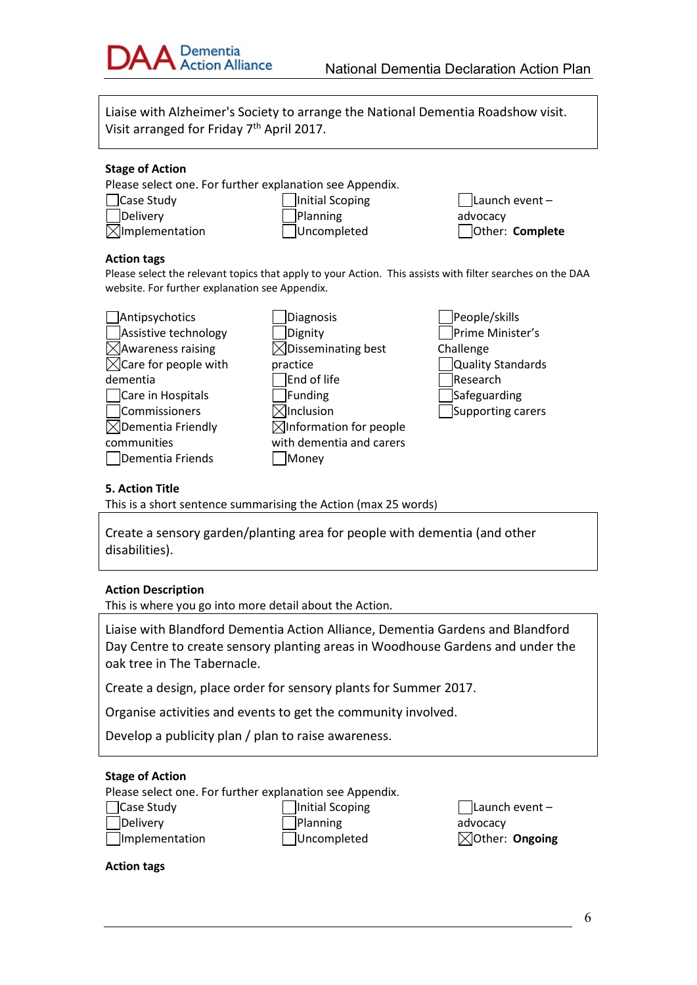

Liaise with Alzheimer's Society to arrange the National Dementia Roadshow visit. Visit arranged for Friday 7th April 2017.

#### Stage of Action

Please select one. For further explanation see Appendix.

- Case Study **Delivery**  $\boxtimes$ Implementation
- Initial Scoping Planning Uncompleted

Launch event – advocacy Other: Complete

#### Action tags

Please select the relevant topics that apply to your Action. This assists with filter searches on the DAA website. For further explanation see Appendix.

| Antipsychotics                   | Diagnosis                          | People/skills     |
|----------------------------------|------------------------------------|-------------------|
| Assistive technology             | Dignity                            | Prime Minister's  |
| $\times$ Awareness raising       | $\times$ Disseminating best        | Challenge         |
| $\boxtimes$ Care for people with | practice                           | Quality Standards |
| dementia                         | End of life                        | Research          |
| Care in Hospitals                | Funding                            | Safeguarding      |
| Commissioners                    | $\boxtimes$ Inclusion              | Supporting carers |
| $\boxtimes$ Dementia Friendly    | $\boxtimes$ Information for people |                   |
| communities                      | with dementia and carers           |                   |
| Dementia Friends                 | Money                              |                   |

### 5. Action Title

This is a short sentence summarising the Action (max 25 words)

Create a sensory garden/planting area for people with dementia (and other disabilities).

#### Action Description

This is where you go into more detail about the Action.

Liaise with Blandford Dementia Action Alliance, Dementia Gardens and Blandford Day Centre to create sensory planting areas in Woodhouse Gardens and under the oak tree in The Tabernacle.

Create a design, place order for sensory plants for Summer 2017.

Organise activities and events to get the community involved.

Develop a publicity plan / plan to raise awareness.

#### Stage of Action

Ι

Please select one. For further explanation see Appendix.

Case Study Delivery Implementation Initial Scoping Planning Uncompleted

 $\Box$ Launch event – advocacy  $\boxtimes$ Other: Ongoing

Action tags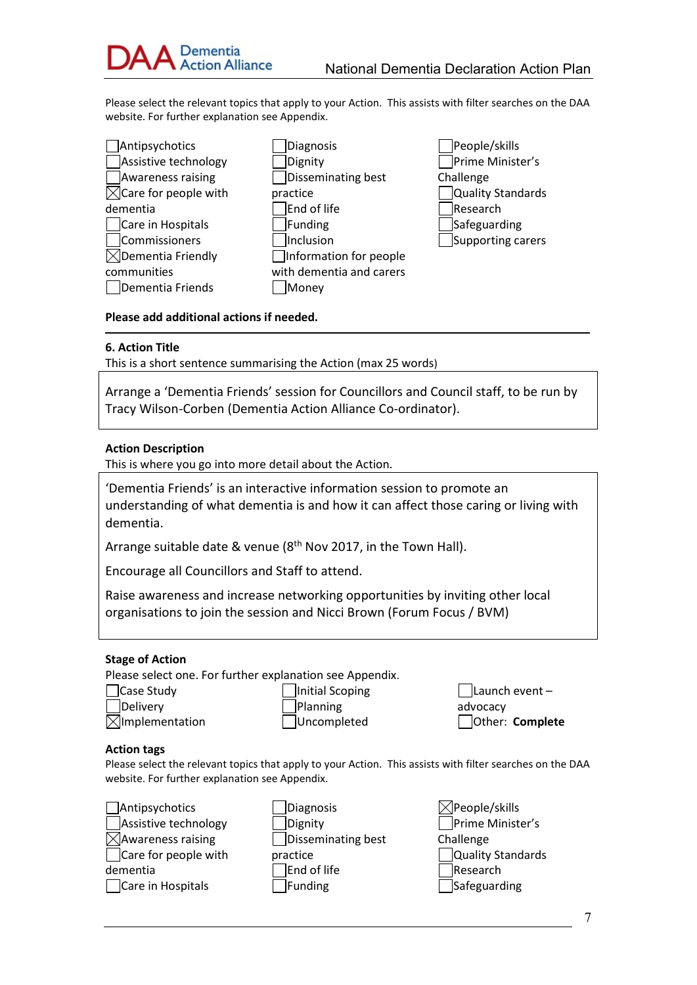

Please select the relevant topics that apply to your Action. This assists with filter searches on the DAA website. For further explanation see Appendix.

- Antipsychotics Assistive technology Awareness raising  $\boxtimes$ Care for people with dementia Care in Hospitals Commissioners  $\boxtimes$ Dementia Friendly communities Dementia Friends
- Diagnosis Dignity Disseminating best practice End of life Funding **Inclusion** Information for people with dementia and carers **Money**
- People/skills Prime Minister's **Challenge** Quality Standards Research Safeguarding Supporting carers

#### Please add additional actions if needed.

#### 6. Action Title

This is a short sentence summarising the Action (max 25 words)

Arrange a 'Dementia Friends' session for Councillors and Council staff, to be run by Tracy Wilson-Corben (Dementia Action Alliance Co-ordinator).

#### Action Description

This is where you go into more detail about the Action.

'Dementia Friends' is an interactive information session to promote an understanding of what dementia is and how it can affect those caring or living with dementia.

Arrange suitable date & venue (8<sup>th</sup> Nov 2017, in the Town Hall).

Encourage all Councillors and Staff to attend.

Raise awareness and increase networking opportunities by inviting other local organisations to join the session and Nicci Brown (Forum Focus / BVM)

#### Stage of Action

I

Please select one. For further explanation see Appendix.

Case Study

Delivery  $\boxtimes$ Implementation Initial Scoping Planning Uncompleted

Launch event – advocacy Other: Complete

#### Action tags

Please select the relevant topics that apply to your Action. This assists with filter searches on the DAA website. For further explanation see Appendix.

| □Antipsychotics               |  |  |  |
|-------------------------------|--|--|--|
| Assistive technology          |  |  |  |
| $\boxtimes$ Awareness raising |  |  |  |
| □ Care for people with        |  |  |  |
| dementia                      |  |  |  |
| Care in Hospitals             |  |  |  |

- Diagnosis Dignity Disseminating best practice End of life Funding
- $\boxtimes$ People/skills Prime Minister's **Challenge** Quality Standards Research Safeguarding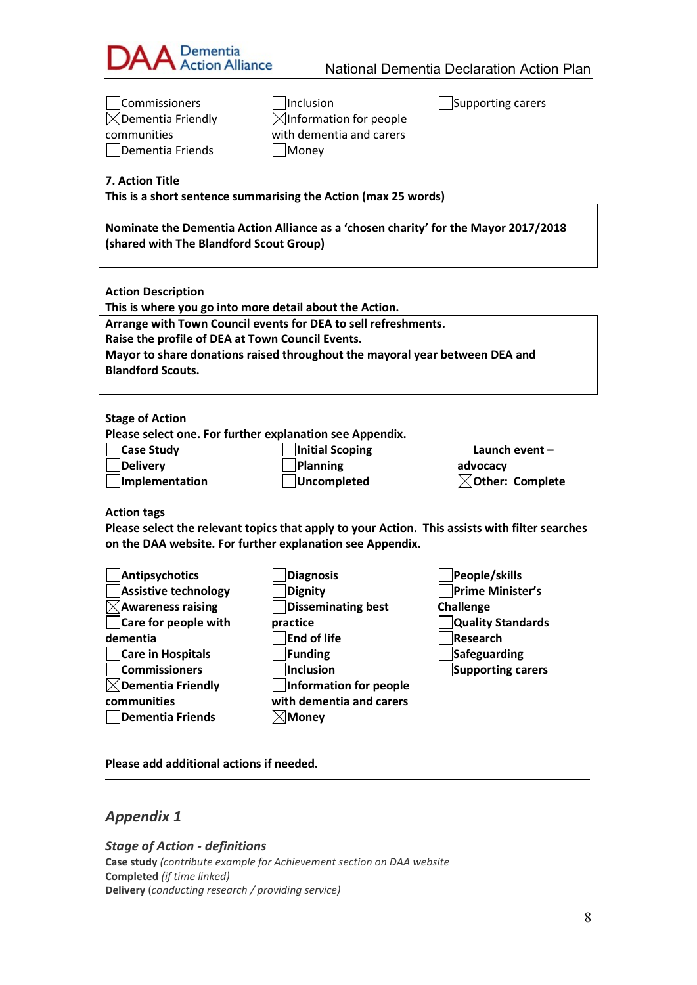

| Commissioners                                           | Inclusion                                                                           | Supporting carers                                                                              |
|---------------------------------------------------------|-------------------------------------------------------------------------------------|------------------------------------------------------------------------------------------------|
| $\boxtimes$ Dementia Friendly                           | $\bowtie$ Information for people                                                    |                                                                                                |
| communities                                             | with dementia and carers                                                            |                                                                                                |
| Dementia Friends                                        | Money                                                                               |                                                                                                |
|                                                         |                                                                                     |                                                                                                |
| 7. Action Title                                         |                                                                                     |                                                                                                |
|                                                         | This is a short sentence summarising the Action (max 25 words)                      |                                                                                                |
|                                                         |                                                                                     |                                                                                                |
|                                                         | Nominate the Dementia Action Alliance as a 'chosen charity' for the Mayor 2017/2018 |                                                                                                |
| (shared with The Blandford Scout Group)                 |                                                                                     |                                                                                                |
|                                                         |                                                                                     |                                                                                                |
|                                                         |                                                                                     |                                                                                                |
| <b>Action Description</b>                               |                                                                                     |                                                                                                |
| This is where you go into more detail about the Action. |                                                                                     |                                                                                                |
|                                                         | Arrange with Town Council events for DEA to sell refreshments.                      |                                                                                                |
| Raise the profile of DEA at Town Council Events.        |                                                                                     |                                                                                                |
|                                                         | Mayor to share donations raised throughout the mayoral year between DEA and         |                                                                                                |
| <b>Blandford Scouts.</b>                                |                                                                                     |                                                                                                |
|                                                         |                                                                                     |                                                                                                |
| <b>Stage of Action</b>                                  |                                                                                     |                                                                                                |
|                                                         | Please select one. For further explanation see Appendix.                            |                                                                                                |
| Case Study                                              | Initial Scoping                                                                     | Launch event-                                                                                  |
| <b>Delivery</b>                                         | Planning                                                                            | advocacy                                                                                       |
| Implementation                                          | <b>Uncompleted</b>                                                                  | $\boxtimes$ Other: Complete                                                                    |
|                                                         |                                                                                     |                                                                                                |
| <b>Action tags</b>                                      |                                                                                     |                                                                                                |
|                                                         |                                                                                     | Please select the relevant topics that apply to your Action. This assists with filter searches |
|                                                         | on the DAA website. For further explanation see Appendix.                           |                                                                                                |
|                                                         |                                                                                     |                                                                                                |
| Antipsychotics                                          | <b>Diagnosis</b>                                                                    | People/skills                                                                                  |
| <b>Assistive technology</b>                             | <b>Dignity</b>                                                                      | Prime Minister's                                                                               |
| $\triangleleft$ Awareness raising                       | <b>Disseminating best</b>                                                           | Challenge                                                                                      |
| Care for people with                                    | practice                                                                            | <b>Quality Standards</b>                                                                       |
| dementia                                                | <b>End of life</b>                                                                  | Research                                                                                       |
| Care in Hospitals                                       | Funding                                                                             | Safeguarding                                                                                   |
| Commissioners                                           | Inclusion                                                                           | Supporting carers                                                                              |
| $\boxtimes$ Dementia Friendly                           | Information for people                                                              |                                                                                                |
| communities                                             | with dementia and carers                                                            |                                                                                                |
| <b>Dementia Friends</b>                                 | $\boxtimes$ Money                                                                   |                                                                                                |

Please add additional actions if needed.

Appendix 1

Stage of Action - definitions Case study (contribute example for Achievement section on DAA website Completed (if time linked) Delivery (conducting research / providing service)